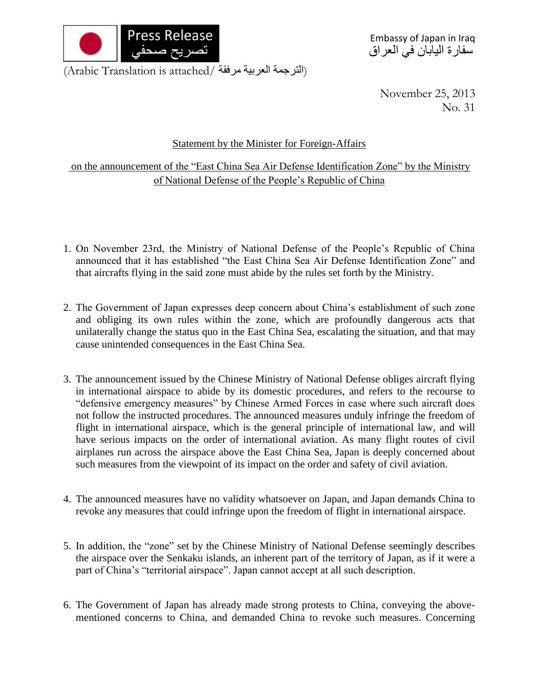

Embassy of Japan in Iraq سفارة اليابان في العراق

(الترجمة العربية مرفقة /Arabic Translation is attached)

November 25, 2013 No. 31

## Statement by the Minister for Foreign-Affairs

on the announcement of the "East China Sea Air Defense Identification Zone" by the Ministry of National Defense of the People's Republic of China

- 1. On November 23rd, the Ministry of National Defense of the People's Republic of China announced that it has established "the East China Sea Air Defense Identification Zone" and that aircrafts flying in the said zone must abide by the rules set forth by the Ministry.
- 2. The Government of Japan expresses deep concern about China's establishment of such zone and obliging its own rules within the zone, which are profoundly dangerous acts that unilaterally change the status quo in the East China Sea, escalating the situation, and that may cause unintended consequences in the East China Sea.
- 3. The announcement issued by the Chinese Ministry of National Defense obliges aircraft flying in international airspace to abide by its domestic procedures, and refers to the recourse to "defensive emergency measures" by Chinese Armed Forces in case where such aircraft does not follow the instructed procedures. The announced measures unduly infringe the freedom of flight in international airspace, which is the general principle of international law, and will have serious impacts on the order of international aviation. As many flight routes of civil airplanes run across the airspace above the East China Sea, Japan is deeply concerned about such measures from the viewpoint of its impact on the order and safety of civil aviation.
- 4. The announced measures have no validity whatsoever on Japan, and Japan demands China to revoke any measures that could infringe upon the freedom of flight in international airspace.
- 5. In addition, the "zone" set by the Chinese Ministry of National Defense seemingly describes the airspace over the Senkaku islands, an inherent part of the territory of Japan, as if it were a part of China's "territorial airspace". Japan cannot accept at all such description.
- 6. The Government of Japan has already made strong protests to China, conveying the abovementioned concerns to China, and demanded China to revoke such measures. Concerning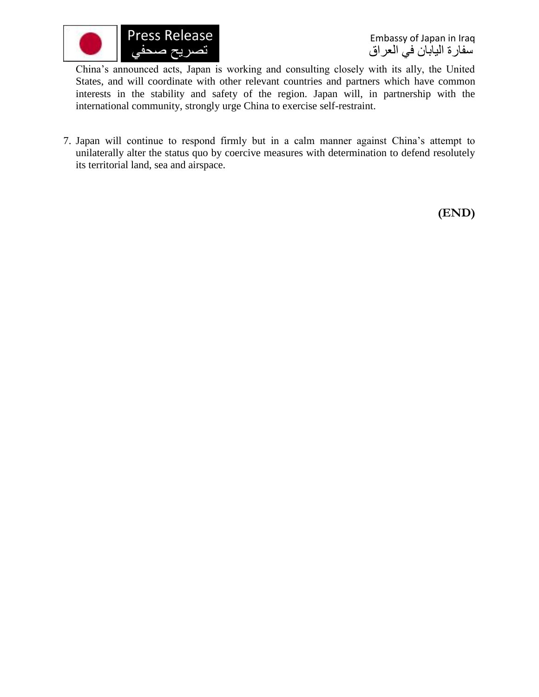

Embassy of Japan in Iraq سفارة اليابان في العراق

China's announced acts, Japan is working and consulting closely with its ally, the United States, and will coordinate with other relevant countries and partners which have common interests in the stability and safety of the region. Japan will, in partnership with the international community, strongly urge China to exercise self-restraint.

7. Japan will continue to respond firmly but in a calm manner against China's attempt to unilaterally alter the status quo by coercive measures with determination to defend resolutely its territorial land, sea and airspace.

**(END)**